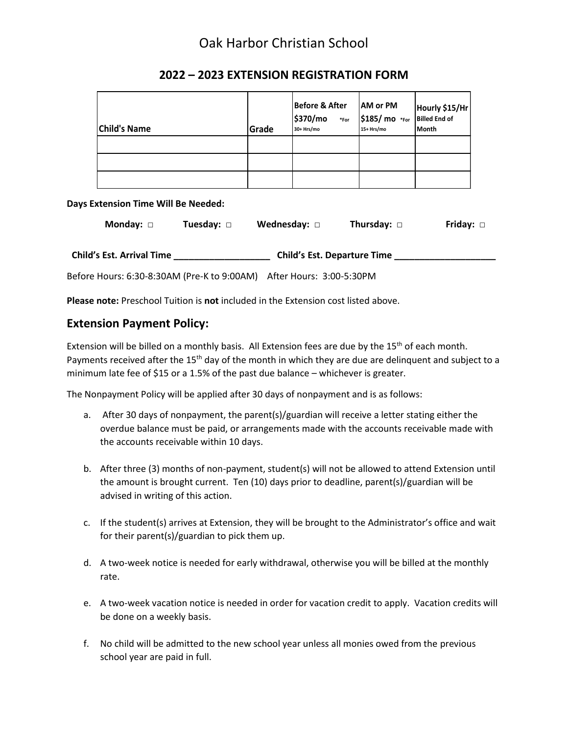## Oak Harbor Christian School

| <b>Child's Name</b> | Grade | <b>Before &amp; After</b><br>\$370/mo<br>$\ast$ For<br>30+ Hrs/mo | <b>AM or PM</b><br>\$185/ mo *For<br>15+ Hrs/mo | Hourly \$15/Hr<br>Billed End of<br><b>Month</b> |
|---------------------|-------|-------------------------------------------------------------------|-------------------------------------------------|-------------------------------------------------|
|                     |       |                                                                   |                                                 |                                                 |
|                     |       |                                                                   |                                                 |                                                 |
|                     |       |                                                                   |                                                 |                                                 |

## **2022 – 2023 EXTENSION REGISTRATION FORM**

#### **Days Extension Time Will Be Needed:**

| Monday: □                        | Tuesday: □ | Wednesday: $\Box$                  | Thursday: $\Box$ | Friday: $\square$ |
|----------------------------------|------------|------------------------------------|------------------|-------------------|
| <b>Child's Est. Arrival Time</b> |            | <b>Child's Est. Departure Time</b> |                  |                   |

Before Hours: 6:30-8:30AM (Pre-K to 9:00AM) After Hours: 3:00-5:30PM

**Please note:** Preschool Tuition is **not** included in the Extension cost listed above.

### **Extension Payment Policy:**

Extension will be billed on a monthly basis. All Extension fees are due by the  $15<sup>th</sup>$  of each month. Payments received after the 15<sup>th</sup> day of the month in which they are due are delinquent and subject to a minimum late fee of \$15 or a 1.5% of the past due balance – whichever is greater.

The Nonpayment Policy will be applied after 30 days of nonpayment and is as follows:

- a. After 30 days of nonpayment, the parent(s)/guardian will receive a letter stating either the overdue balance must be paid, or arrangements made with the accounts receivable made with the accounts receivable within 10 days.
- b. After three (3) months of non-payment, student(s) will not be allowed to attend Extension until the amount is brought current. Ten (10) days prior to deadline, parent(s)/guardian will be advised in writing of this action.
- c. If the student(s) arrives at Extension, they will be brought to the Administrator's office and wait for their parent(s)/guardian to pick them up.
- d. A two-week notice is needed for early withdrawal, otherwise you will be billed at the monthly rate.
- e. A two-week vacation notice is needed in order for vacation credit to apply. Vacation credits will be done on a weekly basis.
- f. No child will be admitted to the new school year unless all monies owed from the previous school year are paid in full.